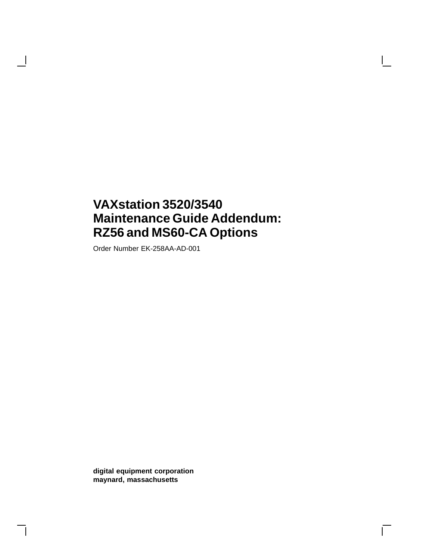# **VAXstation 3520/3540 Maintenance Guide Addendum: RZ56 and MS60-CA Options**

Order Number EK-258AA-AD-001

 $\mathbf{I}$ 

**digital equipment corporation maynard, massachusetts**

 $\mathbf{L}$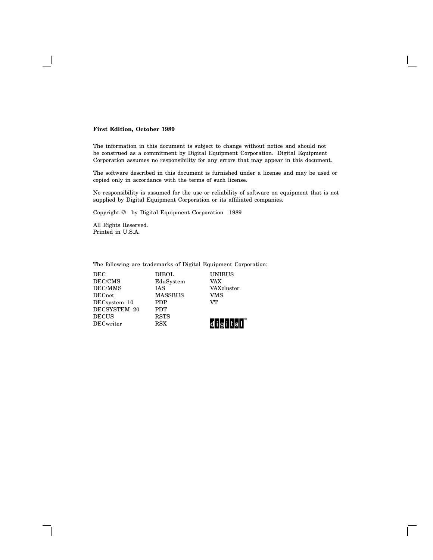#### **First Edition, October 1989**

The information in this document is subject to change without notice and should not be construed as a commitment by Digital Equipment Corporation. Digital Equipment Corporation assumes no responsibility for any errors that may appear in this document.

The software described in this document is furnished under a license and may be used or copied only in accordance with the terms of such license.

No responsibility is assumed for the use or reliability of software on equipment that is not supplied by Digital Equipment Corporation or its affiliated companies.

Copyright © by Digital Equipment Corporation 1989

All Rights Reserved. Printed in U.S.A.

The following are trademarks of Digital Equipment Corporation:

DEC DIBOL UNIBUS DEC/CMS EduSystem VAX EduSystem  $\begin{tabular}{llllll} \bf DEC/MMS & & \bf IAS & & \bf VAXcluster \\ \bf DECnet & & \bf MASSBUS & & \bf VMS \end{tabular}$ MASSBUS VM<br>PDP VT DECsystem-10 DECSYSTEM–20 PDT DECUS RSTS<br>DECwriter RSX

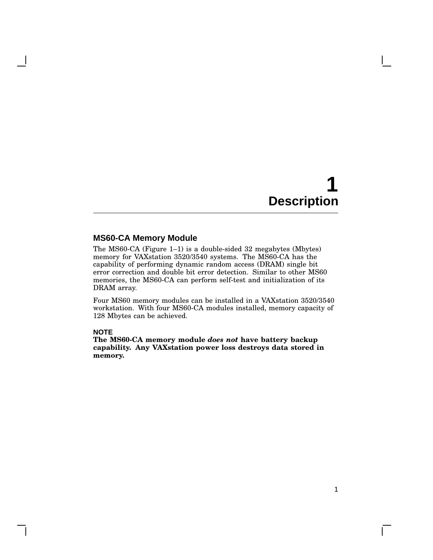1

 $\mathbf{L}$ 

## **MS60-CA Memory Module**

The MS60-CA (Figure 1–1) is a double-sided 32 megabytes (Mbytes) memory for VAXstation 3520/3540 systems. The MS60-CA has the capability of performing dynamic random access (DRAM) single bit error correction and double bit error detection. Similar to other MS60 memories, the MS60-CA can perform self-test and initialization of its DRAM array.

Four MS60 memory modules can be installed in a VAXstation 3520/3540 workstation. With four MS60-CA modules installed, memory capacity of 128 Mbytes can be achieved.

#### **NOTE**

**The MS60-CA memory module** *does not* **have battery backup capability. Any VAXstation power loss destroys data stored in memory.**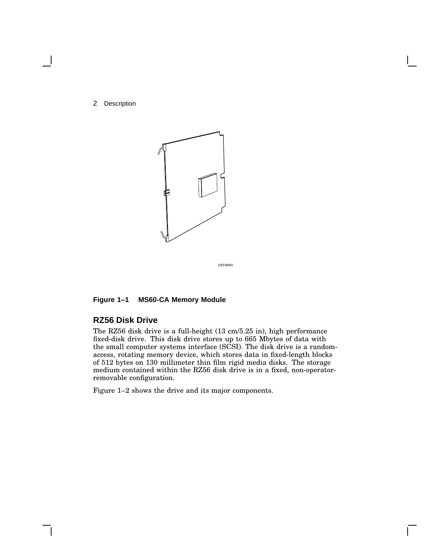

DEFM060

## **Figure 1–1 MS60-CA Memory Module**

## **RZ56 Disk Drive**

The RZ56 disk drive is a full-height (13 cm/5.25 in), high performance fixed-disk drive. This disk drive stores up to 665 Mbytes of data with the small computer systems interface (SCSI). The disk drive is a randomaccess, rotating memory device, which stores data in fixed-length blocks of 512 bytes on 130 millimeter thin film rigid media disks. The storage medium contained within the RZ56 disk drive is in a fixed, non-operatorremovable configuration.

Figure 1–2 shows the drive and its major components.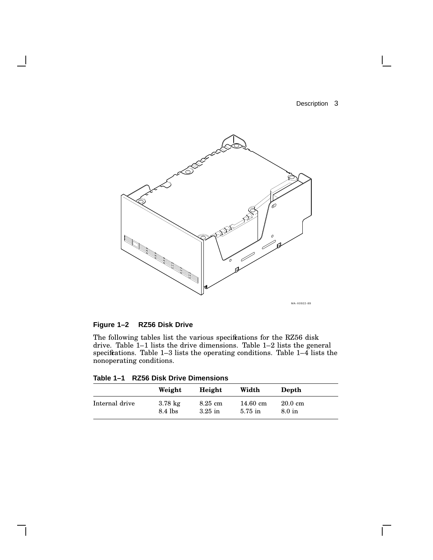$\mathbf{I}$ 



# **Figure 1–2 RZ56 Disk Drive**

The following tables list the various specifications for the RZ56 disk drive. Table 1–1 lists the drive dimensions. Table 1–2 lists the general specifications. Table 1–3 lists the operating conditions. Table 1–4 lists the nonoperating conditions.

| Table 1-1 RZ56 Disk Drive Dimensions |
|--------------------------------------|
|--------------------------------------|

|                | Weight            | Height            | Width              | Depth             |
|----------------|-------------------|-------------------|--------------------|-------------------|
| Internal drive | $3.78 \text{ kg}$ | $8.25 \text{ cm}$ | $14.60 \text{ cm}$ | $20.0 \text{ cm}$ |
|                | 8.4 lbs           | $3.25$ in         | $5.75$ in          | $8.0$ in          |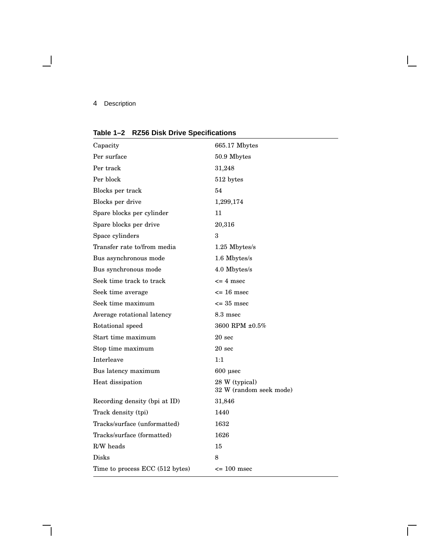$\blacksquare$ 

# **Table 1–2 RZ56 Disk Drive Specifications**

| Capacity                        | 665.17 Mbytes                             |
|---------------------------------|-------------------------------------------|
| Per surface                     | $50.9\text{ }\mathrm{Mbps}$               |
| Per track                       | 31,248                                    |
| Per block                       | 512 bytes                                 |
| Blocks per track                | 54                                        |
| Blocks per drive                | 1,299,174                                 |
| Spare blocks per cylinder       | 11                                        |
| Spare blocks per drive          | 20,316                                    |
| Space cylinders                 | 3                                         |
| Transfer rate to/from media     | 1.25 Mbytes/s                             |
| Bus asynchronous mode           | 1.6 Mbytes/s                              |
| Bus synchronous mode            | 4.0 Mbytes/s                              |
| Seek time track to track        | $\leq$ 4 msec                             |
| Seek time average               | $\epsilon$ = 16 msec                      |
| Seek time maximum               | $\epsilon$ = 35 msec                      |
| Average rotational latency      | $8.3 \text{ msec}$                        |
| Rotational speed                | 3600 RPM ±0.5%                            |
| Start time maximum              | 20 <sub>sec</sub>                         |
| Stop time maximum               | $20 \text{ sec}$                          |
| Interleave                      | 1:1                                       |
| Bus latency maximum             | $600$ usec                                |
| Heat dissipation                | 28 W (typical)<br>32 W (random seek mode) |
| Recording density (bpi at ID)   | 31,846                                    |
| Track density (tpi)             | 1440                                      |
| Tracks/surface (unformatted)    | 1632                                      |
| Tracks/surface (formatted)      | 1626                                      |
| R/W heads                       | 15                                        |
| Disks                           | 8                                         |
| Time to process ECC (512 bytes) | $\epsilon$ = 100 msec                     |

 $\mathbf{I}$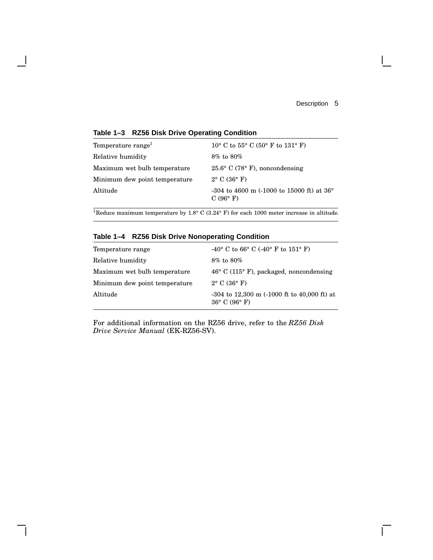$\mathbf{L}$ 

## **Table 1–3 RZ56 Disk Drive Operating Condition**

| Temperature range <sup>1</sup> | 10° C to 55° C (50° F to 131° F)                                                         |
|--------------------------------|------------------------------------------------------------------------------------------|
| Relative humidity              | $8\%$ to $80\%$                                                                          |
| Maximum wet bulb temperature   | $25.6^{\circ}$ C (78 $^{\circ}$ F), noncondensing                                        |
| Minimum dew point temperature  | $2^{\circ}$ C (36 $^{\circ}$ F)                                                          |
| Altitude                       | $-304$ to 4600 m $(-1000)$ to 15000 ft) at 36 <sup>°</sup><br>C $(96^{\circ} \text{ F})$ |

<sup>1</sup>Reduce maximum temperature by 1.8° C (3.24° F) for each 1000 meter increase in altitude.

# **Table 1–4 RZ56 Disk Drive Nonoperating Condition**

| Temperature range             | $-40^{\circ}$ C to 66° C (-40° F to 151° F)                                         |
|-------------------------------|-------------------------------------------------------------------------------------|
| Relative humidity             | $8\%$ to $80\%$                                                                     |
| Maximum wet bulb temperature  | $46^{\circ}$ C (115 $^{\circ}$ F), packaged, noncondensing                          |
| Minimum dew point temperature | $2^{\circ}$ C (36 $^{\circ}$ F)                                                     |
| Altitude                      | $-304$ to 12,300 m $(-1000$ ft to 40,000 ft) at<br>$36^{\circ}$ C (96 $^{\circ}$ F) |

For additional information on the RZ56 drive, refer to the *RZ56 Disk Drive Service Manual* (EK-RZ56-SV).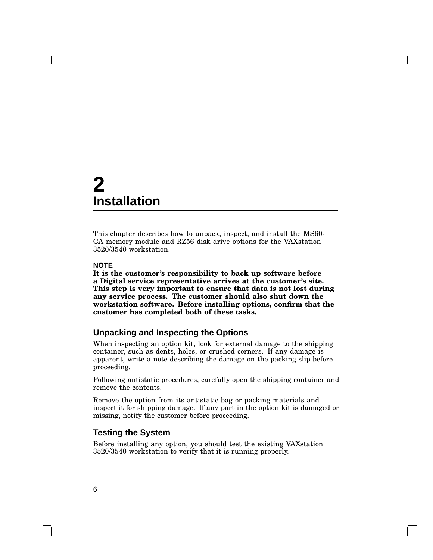This chapter describes how to unpack, inspect, and install the MS60- CA memory module and RZ56 disk drive options for the VAXstation 3520/3540 workstation.

#### **NOTE**

**It is the customer's responsibility to back up software before a Digital service representative arrives at the customer's site. This step is very important to ensure that data is not lost during any service process. The customer should also shut down the workstation software. Before installing options, confirm that the customer has completed both of these tasks.**

### **Unpacking and Inspecting the Options**

When inspecting an option kit, look for external damage to the shipping container, such as dents, holes, or crushed corners. If any damage is apparent, write a note describing the damage on the packing slip before proceeding.

Following antistatic procedures, carefully open the shipping container and remove the contents.

Remove the option from its antistatic bag or packing materials and inspect it for shipping damage. If any part in the option kit is damaged or missing, notify the customer before proceeding.

#### **Testing the System**

Before installing any option, you should test the existing VAXstation 3520/3540 workstation to verify that it is running properly.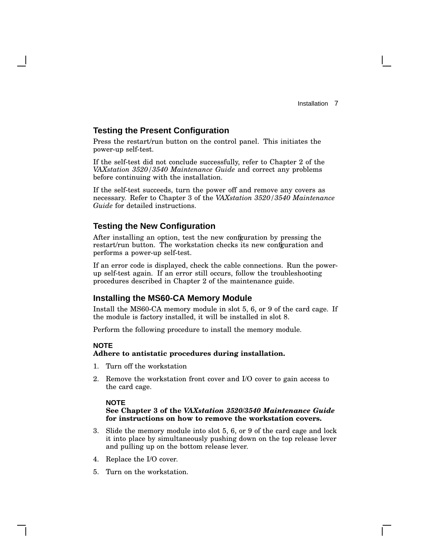## **Testing the Present Configuration**

Press the restart/run button on the control panel. This initiates the power-up self-test.

If the self-test did not conclude successfully, refer to Chapter 2 of the *VAXstation 3520/3540 Maintenance Guide* and correct any problems before continuing with the installation.

If the self-test succeeds, turn the power off and remove any covers as necessary. Refer to Chapter 3 of the *VAXstation 3520/3540 Maintenance Guide* for detailed instructions.

## **Testing the New Configuration**

After installing an option, test the new configuration by pressing the restart/run button. The workstation checks its new configuration and performs a power-up self-test.

If an error code is displayed, check the cable connections. Run the powerup self-test again. If an error still occurs, follow the troubleshooting procedures described in Chapter 2 of the maintenance guide.

#### **Installing the MS60-CA Memory Module**

Install the MS60-CA memory module in slot 5, 6, or 9 of the card cage. If the module is factory installed, it will be installed in slot 8.

Perform the following procedure to install the memory module.

#### **NOTE**

#### **Adhere to antistatic procedures during installation.**

- 1. Turn off the workstation
- 2. Remove the workstation front cover and I/O cover to gain access to the card cage.

#### **NOTE**

#### **See Chapter 3 of the** *VAXstation 3520/3540 Maintenance Guide* **for instructions on how to remove the workstation covers.**

- 3. Slide the memory module into slot 5, 6, or 9 of the card cage and lock it into place by simultaneously pushing down on the top release lever and pulling up on the bottom release lever.
- 4. Replace the I/O cover.
- 5. Turn on the workstation.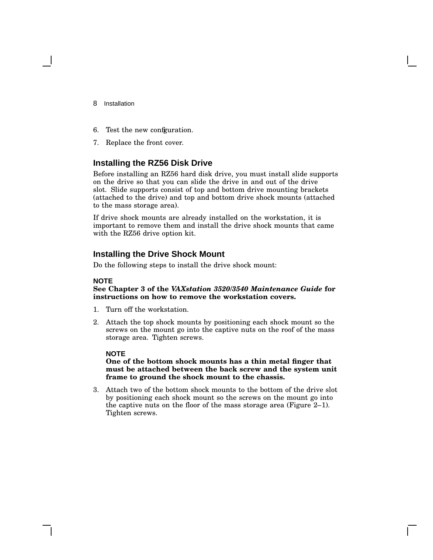- 8 Installation
- 6. Test the new configuration.
- 7. Replace the front cover.

# **Installing the RZ56 Disk Drive**

Before installing an RZ56 hard disk drive, you must install slide supports on the drive so that you can slide the drive in and out of the drive slot. Slide supports consist of top and bottom drive mounting brackets (attached to the drive) and top and bottom drive shock mounts (attached to the mass storage area).

If drive shock mounts are already installed on the workstation, it is important to remove them and install the drive shock mounts that came with the RZ56 drive option kit.

#### **Installing the Drive Shock Mount**

Do the following steps to install the drive shock mount:

#### **NOTE**

**See Chapter 3 of the** *VAXstation 3520/3540 Maintenance Guide* **for instructions on how to remove the workstation covers.**

- 1. Turn off the workstation.
- 2. Attach the top shock mounts by positioning each shock mount so the screws on the mount go into the captive nuts on the roof of the mass storage area. Tighten screws.

#### **NOTE**

#### **One of the bottom shock mounts has a thin metal finger that must be attached between the back screw and the system unit frame to ground the shock mount to the chassis.**

3. Attach two of the bottom shock mounts to the bottom of the drive slot by positioning each shock mount so the screws on the mount go into the captive nuts on the floor of the mass storage area (Figure 2–1). Tighten screws.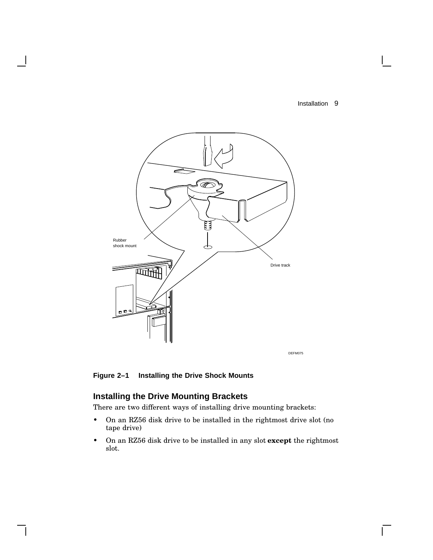$\mathbf{I}$ 



**Figure 2–1 Installing the Drive Shock Mounts**

# **Installing the Drive Mounting Brackets**

There are two different ways of installing drive mounting brackets:

- On an RZ56 disk drive to be installed in the rightmost drive slot (no tape drive)
- On an RZ56 disk drive to be installed in any slot **except** the rightmost slot.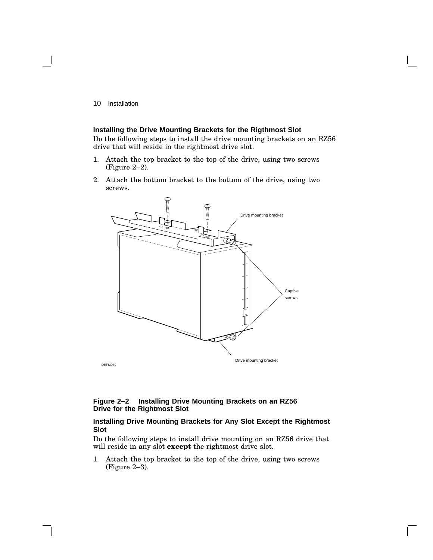#### **Installing the Drive Mounting Brackets for the Rigthmost Slot**

Do the following steps to install the drive mounting brackets on an RZ56 drive that will reside in the rightmost drive slot.

- 1. Attach the top bracket to the top of the drive, using two screws (Figure 2–2).
- 2. Attach the bottom bracket to the bottom of the drive, using two screws.



#### **Figure 2–2 Installing Drive Mounting Brackets on an RZ56 Drive for the Rightmost Slot**

#### **Installing Drive Mounting Brackets for Any Slot Except the Rightmost Slot**

Do the following steps to install drive mounting on an RZ56 drive that will reside in any slot **except** the rightmost drive slot.

1. Attach the top bracket to the top of the drive, using two screws (Figure 2–3).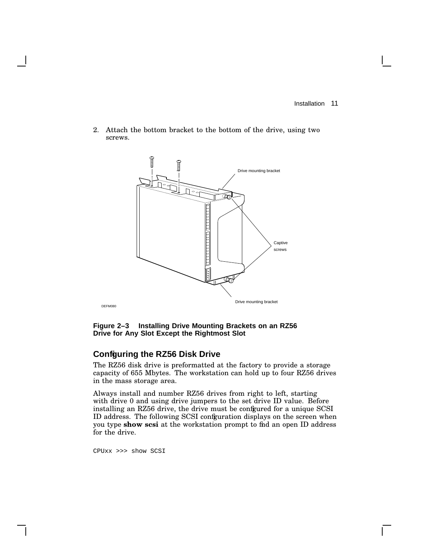2. Attach the bottom bracket to the bottom of the drive, using two screws.



**Figure 2–3 Installing Drive Mounting Brackets on an RZ56 Drive for Any Slot Except the Rightmost Slot**

## **Configuring the RZ56 Disk Drive**

The RZ56 disk drive is preformatted at the factory to provide a storage capacity of 655 Mbytes. The workstation can hold up to four RZ56 drives in the mass storage area.

Always install and number RZ56 drives from right to left, starting with drive 0 and using drive jumpers to the set drive ID value. Before installing an RZ56 drive, the drive must be configured for a unique SCSI ID address. The following SCSI configuration displays on the screen when you type **show scsi** at the workstation prompt to find an open ID address for the drive.

CPUxx >>> show SCSI

DEFM080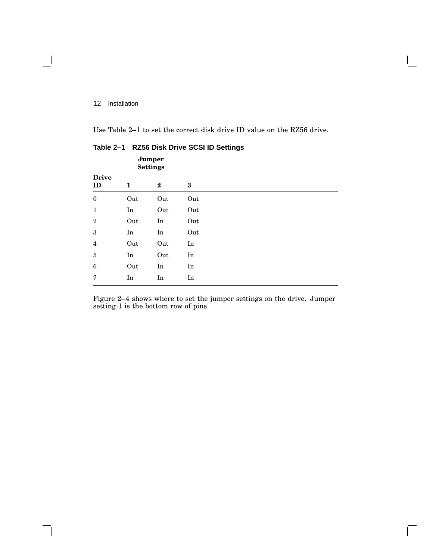$\blacksquare$ 

Use Table 2–1 to set the correct disk drive ID value on the RZ56 drive.

| Jumper<br><b>Settings</b> |                            |          |          |  |
|---------------------------|----------------------------|----------|----------|--|
| <b>Drive</b><br>ID        | 1                          | $\bf{2}$ | $\bf{3}$ |  |
| $\boldsymbol{0}$          | Out                        | Out      | Out      |  |
| $\mathbf{1}$              | $\mathop{\rm In}\nolimits$ | Out      | Out      |  |
| $\,2$                     | Out                        | In       | Out      |  |
| 3                         | $\mathop{\rm In}\nolimits$ | In       | Out      |  |
| $\overline{\mathbf{4}}$   | Out                        | Out      | $\rm In$ |  |
| $\sqrt{5}$                | $\mathop{\rm In}\nolimits$ | Out      | $\rm In$ |  |
| 6                         | Out                        | $\rm In$ | $\rm In$ |  |
| 7                         | $\mathop{\rm In}\nolimits$ | In       | $\rm In$ |  |

**Table 2–1 RZ56 Disk Drive SCSI ID Settings**

Figure 2–4 shows where to set the jumper settings on the drive. Jumper setting 1 is the bottom row of pins.

 $\overline{\Gamma}$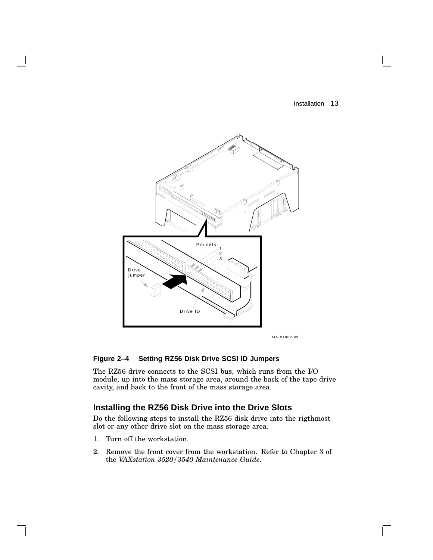

MA-X1002-89

#### **Figure 2–4 Setting RZ56 Disk Drive SCSI ID Jumpers**

The RZ56 drive connects to the SCSI bus, which runs from the I/O module, up into the mass storage area, around the back of the tape drive cavity, and back to the front of the mass storage area.

## **Installing the RZ56 Disk Drive into the Drive Slots**

Do the following steps to install the RZ56 disk drive into the rigthmost slot or any other drive slot on the mass storage area.

- 1. Turn off the workstation.
- 2. Remove the front cover from the workstation. Refer to Chapter 3 of the *VAXstation 3520/3540 Maintenance Guide*.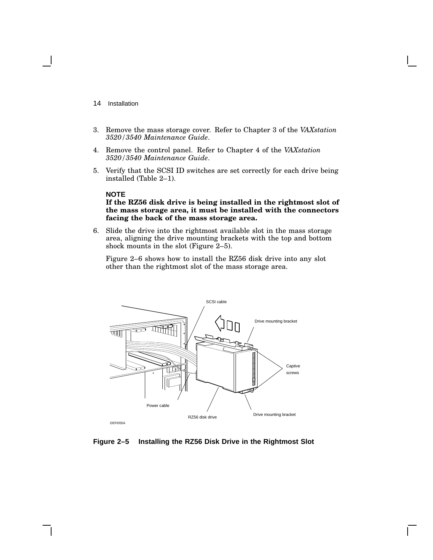- 14 Installation
- 3. Remove the mass storage cover. Refer to Chapter 3 of the *VAXstation 3520/3540 Maintenance Guide*.
- 4. Remove the control panel. Refer to Chapter 4 of the *VAXstation 3520/3540 Maintenance Guide*.
- 5. Verify that the SCSI ID switches are set correctly for each drive being installed (Table 2–1).

#### **NOTE**

#### **If the RZ56 disk drive is being installed in the rightmost slot of the mass storage area, it must be installed with the connectors facing the back of the mass storage area.**

6. Slide the drive into the rightmost available slot in the mass storage area, aligning the drive mounting brackets with the top and bottom shock mounts in the slot (Figure 2–5).

Figure 2–6 shows how to install the RZ56 disk drive into any slot other than the rightmost slot of the mass storage area.



**Figure 2–5 Installing the RZ56 Disk Drive in the Rightmost Slot**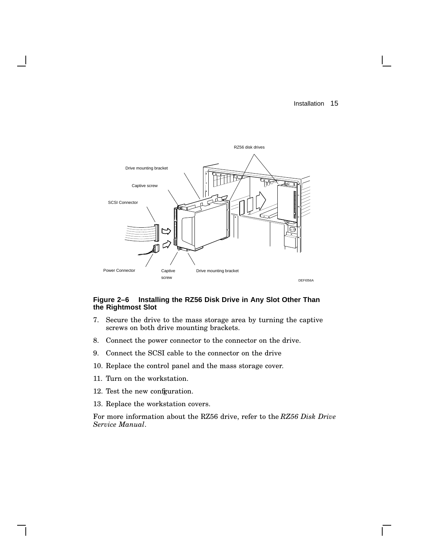

#### **Figure 2–6 Installing the RZ56 Disk Drive in Any Slot Other Than the Rightmost Slot**

- 7. Secure the drive to the mass storage area by turning the captive screws on both drive mounting brackets.
- 8. Connect the power connector to the connector on the drive.
- 9. Connect the SCSI cable to the connector on the drive
- 10. Replace the control panel and the mass storage cover.
- 11. Turn on the workstation.
- 12. Test the new configuration.
- 13. Replace the workstation covers.

For more information about the RZ56 drive, refer to the *RZ56 Disk Drive Service Manual*.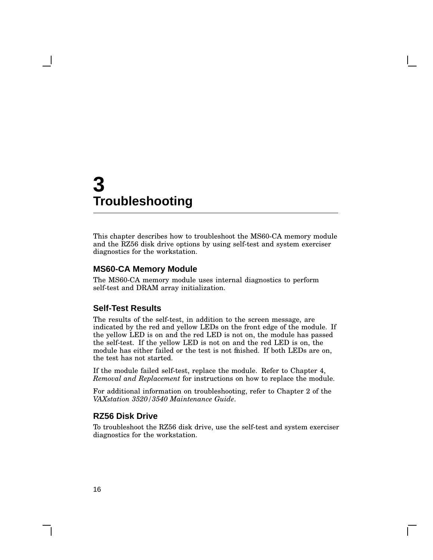# **3 Troubleshooting**

This chapter describes how to troubleshoot the MS60-CA memory module and the RZ56 disk drive options by using self-test and system exerciser diagnostics for the workstation.

#### **MS60-CA Memory Module**

The MS60-CA memory module uses internal diagnostics to perform self-test and DRAM array initialization.

#### **Self-Test Results**

The results of the self-test, in addition to the screen message, are indicated by the red and yellow LEDs on the front edge of the module. If the yellow LED is on and the red LED is not on, the module has passed the self-test. If the yellow LED is not on and the red LED is on, the module has either failed or the test is not finished. If both LEDs are on, the test has not started.

If the module failed self-test, replace the module. Refer to Chapter 4, *Removal and Replacement* for instructions on how to replace the module.

For additional information on troubleshooting, refer to Chapter 2 of the *VAXstation 3520/3540 Maintenance Guide*.

#### **RZ56 Disk Drive**

To troubleshoot the RZ56 disk drive, use the self-test and system exerciser diagnostics for the workstation.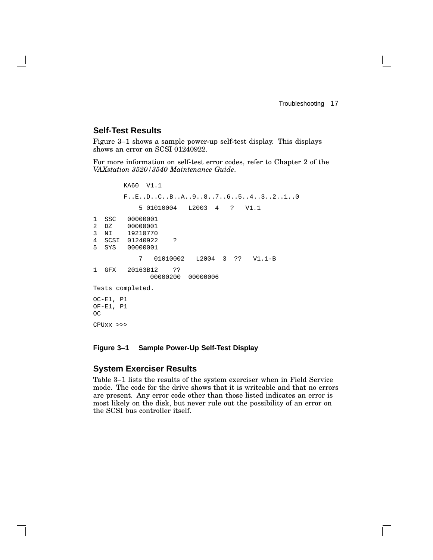Troubleshooting 17

## **Self-Test Results**

Figure 3–1 shows a sample power-up self-test display. This displays shows an error on SCSI 01240922.

For more information on self-test error codes, refer to Chapter 2 of the *VAXstation 3520/3540 Maintenance Guide*.

KA60 V1.1 F..E..D..C..B..A..9..8..7..6..5..4..3..2..1..0 5 01010004 L2003 4 ? V1.1 1 SSC 00000001 2 DZ 00000001 3 NI 19210770 4 SCSI 01240922 ? 00000001 7 01010002 L2004 3 ?? V1.1-B 1 GFX 20163B12 ?? 00000200 00000006 Tests completed. OC-E1, P1 OF-E1, P1 OC CPUxx >>>

#### **Figure 3–1 Sample Power-Up Self-Test Display**

#### **System Exerciser Results**

Table 3–1 lists the results of the system exerciser when in Field Service mode. The code for the drive shows that it is writeable and that no errors are present. Any error code other than those listed indicates an error is most likely on the disk, but never rule out the possibility of an error on the SCSI bus controller itself.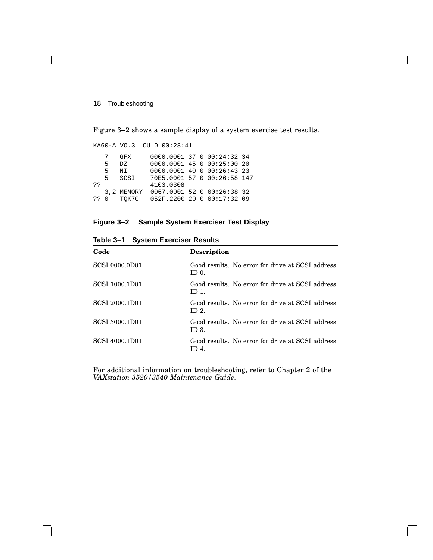#### 18 Troubleshooting

Figure 3–2 shows a sample display of a system exercise test results.

KA60-A VO.3 CU 0 00:28:41 7 GFX 0000.0001 37 0 00:24:32 34 5 DZ 0000.0001 45 0 00:25:00 20 5 NI 0000.0001 40 0 00:26:43 23 5 SCSI 70E5.0001 57 0 00:26:58 147 ?? 4103.0308<br>3,2 MEMORY 0067.0001 3,2 MEMORY 0067.0001 52 0 00:26:38 32 052F.2200 20 0 00:17:32 09

#### **Figure 3–2 Sample System Exerciser Test Display**

| Code                  | <b>Description</b>                                                  |
|-----------------------|---------------------------------------------------------------------|
| <b>SCSI 0000.0D01</b> | Good results. No error for drive at SCSI address<br>ID 0.           |
| <b>SCSI 1000.1D01</b> | Good results. No error for drive at SCSI address<br>ID 1.           |
| <b>SCSI 2000.1D01</b> | Good results. No error for drive at SCSI address<br>ID <sub>2</sub> |
| <b>SCSI 3000.1D01</b> | Good results. No error for drive at SCSI address<br>ID 3.           |
| SCSI 4000.1D01        | Good results. No error for drive at SCSI address<br>ID 4.           |

**Table 3–1 System Exerciser Results**

For additional information on troubleshooting, refer to Chapter 2 of the *VAXstation 3520/3540 Maintenance Guide*.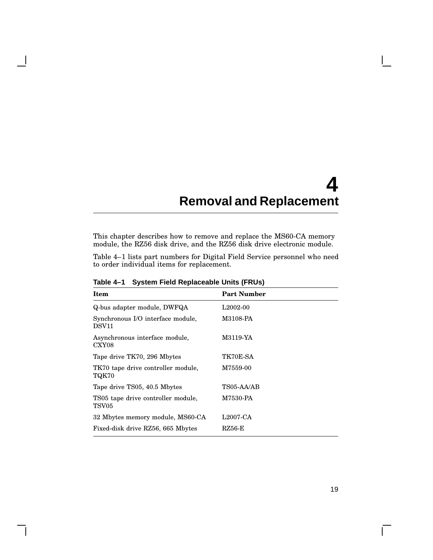# **4 Removal and Replacement**

This chapter describes how to remove and replace the MS60-CA memory module, the RZ56 disk drive, and the RZ56 disk drive electronic module.

Table 4–1 lists part numbers for Digital Field Service personnel who need to order individual items for replacement.

| Item                                                   | <b>Part Number</b>    |
|--------------------------------------------------------|-----------------------|
| Q-bus adapter module, DWFQA                            | L <sub>2002</sub> -00 |
| Synchronous I/O interface module,<br>DSV <sub>11</sub> | M3108-PA              |
| Asynchronous interface module,<br>CXY08                | M3119-YA              |
| Tape drive TK70, 296 Mbytes                            | TK70E-SA              |
| TK70 tape drive controller module,<br>TQK70            | M7559-00              |
| Tape drive TS05, 40.5 Mbytes                           | TS05-AA/AB            |
| TS05 tape drive controller module,<br>TSV05            | M7530-PA              |
| 32 Mbytes memory module, MS60-CA                       | $L2007-CA$            |
| Fixed-disk drive RZ56, 665 Mbytes                      | RZ56-E                |

**Table 4–1 System Field Replaceable Units (FRUs)**

 $\mathbf{I}$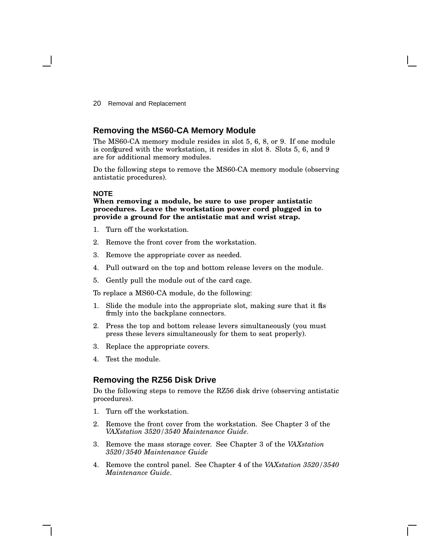20 Removal and Replacement

## **Removing the MS60-CA Memory Module**

The MS60-CA memory module resides in slot 5, 6, 8, or 9. If one module is configured with the workstation, it resides in slot 8. Slots 5, 6, and 9 are for additional memory modules.

Do the following steps to remove the MS60-CA memory module (observing antistatic procedures).

#### **NOTE**

**When removing a module, be sure to use proper antistatic procedures. Leave the workstation power cord plugged in to provide a ground for the antistatic mat and wrist strap.**

- 1. Turn off the workstation.
- 2. Remove the front cover from the workstation.
- 3. Remove the appropriate cover as needed.
- 4. Pull outward on the top and bottom release levers on the module.
- 5. Gently pull the module out of the card cage.

To replace a MS60-CA module, do the following:

- 1. Slide the module into the appropriate slot, making sure that it fits firmly into the backplane connectors.
- 2. Press the top and bottom release levers simultaneously (you must press these levers simultaneously for them to seat properly).
- 3. Replace the appropriate covers.
- 4. Test the module.

# **Removing the RZ56 Disk Drive**

Do the following steps to remove the RZ56 disk drive (observing antistatic procedures).

- 1. Turn off the workstation.
- 2. Remove the front cover from the workstation. See Chapter 3 of the *VAXstation 3520/3540 Maintenance Guide*.
- 3. Remove the mass storage cover. See Chapter 3 of the *VAXstation 3520/3540 Maintenance Guide*
- 4. Remove the control panel. See Chapter 4 of the *VAXstation 3520/3540 Maintenance Guide*.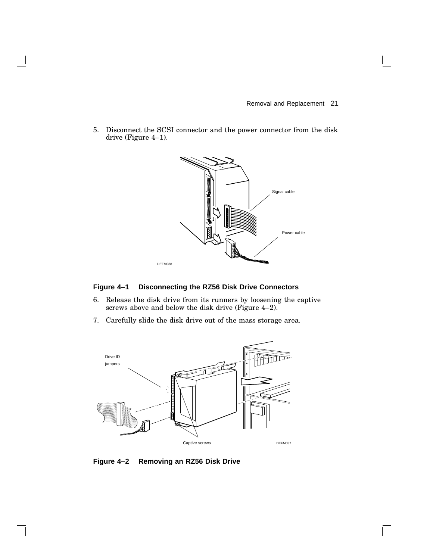$\mathbf{L}$ 

5. Disconnect the SCSI connector and the power connector from the disk drive (Figure 4–1).



## **Figure 4–1 Disconnecting the RZ56 Disk Drive Connectors**

- 6. Release the disk drive from its runners by loosening the captive screws above and below the disk drive (Figure 4–2).
- 7. Carefully slide the disk drive out of the mass storage area.



**Figure 4–2 Removing an RZ56 Disk Drive**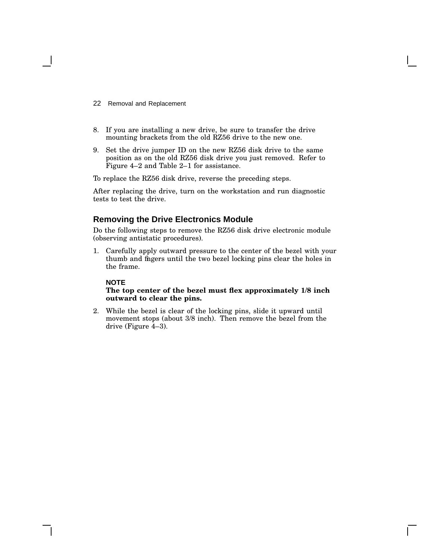- 22 Removal and Replacement
- 8. If you are installing a new drive, be sure to transfer the drive mounting brackets from the old RZ56 drive to the new one.
- 9. Set the drive jumper ID on the new RZ56 disk drive to the same position as on the old RZ56 disk drive you just removed. Refer to Figure 4–2 and Table 2–1 for assistance.

To replace the RZ56 disk drive, reverse the preceding steps.

After replacing the drive, turn on the workstation and run diagnostic tests to test the drive.

### **Removing the Drive Electronics Module**

Do the following steps to remove the RZ56 disk drive electronic module (observing antistatic procedures).

1. Carefully apply outward pressure to the center of the bezel with your thumb and fingers until the two bezel locking pins clear the holes in the frame.

#### **NOTE**

#### **The top center of the bezel must flex approximately 1/8 inch outward to clear the pins.**

2. While the bezel is clear of the locking pins, slide it upward until movement stops (about 3/8 inch). Then remove the bezel from the drive (Figure 4–3).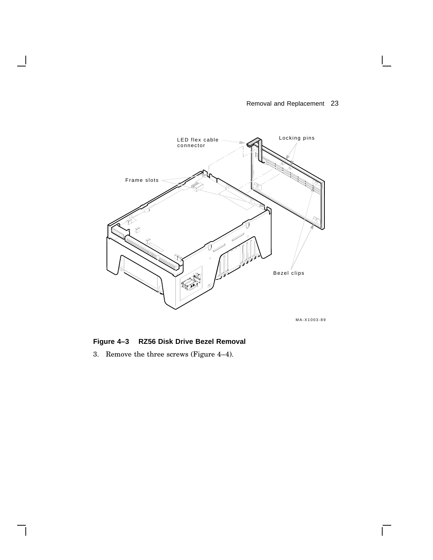## Removal and Replacement 23



MA-X1003-89

 $\Gamma$ 

**Figure 4–3 RZ56 Disk Drive Bezel Removal**

3. Remove the three screws (Figure 4–4).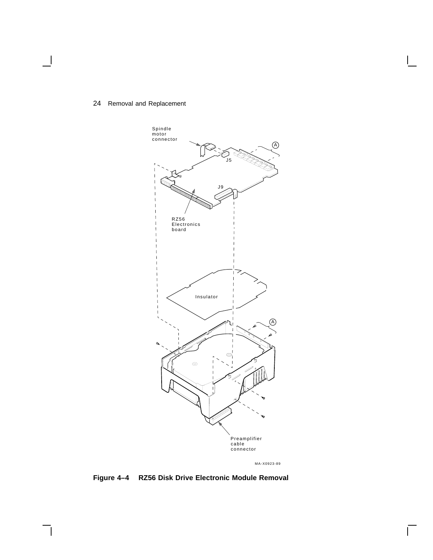## 24 Removal and Replacement



MA-X0923-89

 $\overline{\Gamma}$ 

# **Figure 4–4 RZ56 Disk Drive Electronic Module Removal**